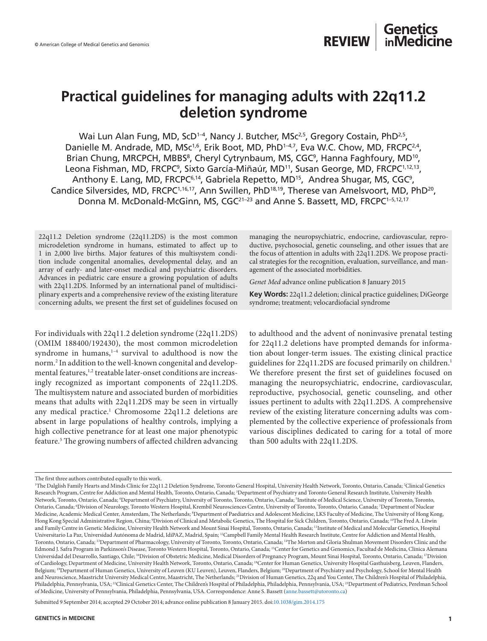# **Practical guidelines for managing adults with 22q11.2 deletion syndrome**

Wai Lun Alan Fung, MD, ScD<sup>1-4</sup>, Nancy J. Butcher, MSc<sup>2,5</sup>, Gregory Costain, PhD<sup>2,5</sup>, Danielle M. Andrade, MD, MSc<sup>1,6</sup>, Erik Boot, MD, PhD<sup>1-4,7</sup>, Eva W.C. Chow, MD, FRCPC<sup>2,4</sup>, Brian Chung, MRCPCH, MBBS<sup>8</sup>, Cheryl Cytrynbaum, MS, CGC<sup>9</sup>, Hanna Faghfoury, MD<sup>10</sup>, Leona Fishman, MD, FRCPC<sup>9</sup>, Sixto García-Miñaúr, MD<sup>11</sup>, Susan George, MD, FRCPC<sup>1,12,13</sup>, Anthony E. Lang, MD, FRCPC<sup>6,14</sup>, Gabriela Repetto, MD<sup>15</sup>, Andrea Shugar, MS, CGC<sup>9</sup>, Candice Silversides, MD, FRCPC<sup>1,16,17</sup>, Ann Swillen, PhD<sup>18,19</sup>, Therese van Amelsvoort, MD, PhD<sup>20</sup>, Donna M. McDonald-McGinn, MS, CGC<sup>21-23</sup> and Anne S. Bassett, MD, FRCPC<sup>1-5,12,17</sup>

22q11.2 Deletion syndrome (22q11.2DS) is the most common microdeletion syndrome in humans, estimated to affect up to 1 in 2,000 live births. Major features of this multisystem condition include congenital anomalies, developmental delay, and an array of early- and later-onset medical and psychiatric disorders. Advances in pediatric care ensure a growing population of adults with 22q11.2DS. Informed by an international panel of multidisciplinary experts and a comprehensive review of the existing literature concerning adults, we present the first set of guidelines focused on

For individuals with 22q11.2 deletion syndrome (22q11.2DS) (OMIM 188400/192430), the most common microdeletion syndrome in humans,<sup>1-4</sup> survival to adulthood is now the norm.2 In addition to the well-known congenital and developmental features,<sup>1,2</sup> treatable later-onset conditions are increasingly recognized as important components of 22q11.2DS. The multisystem nature and associated burden of morbidities means that adults with 22q11.2DS may be seen in virtually any medical practice.<sup>1</sup> Chromosome 22q11.2 deletions are absent in large populations of healthy controls, implying a high collective penetrance for at least one major phenotypic feature.5 The growing numbers of affected children advancing managing the neuropsychiatric, endocrine, cardiovascular, reproductive, psychosocial, genetic counseling, and other issues that are the focus of attention in adults with 22q11.2DS. We propose practical strategies for the recognition, evaluation, surveillance, and management of the associated morbidities.

*Genet Med* advance online publication 8 January 2015

**Key Words:** 22q11.2 deletion; clinical practice guidelines; DiGeorge syndrome; treatment; velocardiofacial syndrome

to adulthood and the advent of noninvasive prenatal testing for 22q11.2 deletions have prompted demands for information about longer-term issues. The existing clinical practice guidelines for 22q11.2DS are focused primarily on children.<sup>1</sup> We therefore present the first set of guidelines focused on managing the neuropsychiatric, endocrine, cardiovascular, reproductive, psychosocial, genetic counseling, and other issues pertinent to adults with 22q11.2DS. A comprehensive review of the existing literature concerning adults was complemented by the collective experience of professionals from various disciplines dedicated to caring for a total of more than 500 adults with 22q11.2DS.

Submitted 9 September 2014; accepted 29 October 2014; advance online publication 8 January 2015. doi[:10.1038/gim.2014.175](http://www.nature.com/doifinder/10.1038/gim.2014.175)

The first three authors contributed equally to this work.

<sup>1</sup> The Dalglish Family Hearts and Minds Clinic for 22q11.2 Deletion Syndrome, Toronto General Hospital, University Health Network, Toronto, Ontario, Canada; 2 Clinical Genetics Research Program, Centre for Addiction and Mental Health, Toronto, Ontario, Canada; <sup>3</sup>Department of Psychiatry and Toronto General Research Institute, University Health Network, Toronto, Ontario, Canada; <sup>4</sup>Department of Psychiatry, University of Toronto, Toronto, Ontario, Canada; <sup>5</sup>Institute of Medical Science, University of Toronto, Toronto, Ontario, Canada; 6 Division of Neurology, Toronto Western Hospital, Krembil Neurosciences Centre, University of Toronto, Toronto, Ontario, Canada; 7 Department of Nuclear Medicine, Academic Medical Center, Amsterdam, The Netherlands; ®Department of Paediatrics and Adolescent Medicine, LKS Faculty of Medicine, The University of Hong Kong, Hong Kong Special Administrative Region, China; °Division of Clinical and Metabolic Genetics, The Hospital for Sick Children, Toronto, Ontario, Canada; <sup>10</sup>The Fred A. Litwin and Family Centre in Genetic Medicine, University Health Network and Mount Sinai Hospital, Toronto, Ontario, Canada; 11Institute of Medical and Molecular Genetics, Hospital Universitario La Paz, Universidad Autónoma de Madrid, IdiPAZ, Madrid, Spain; 12Campbell Family Mental Health Research Institute, Centre for Addiction and Mental Health, Toronto, Ontario, Canada; 13Department of Pharmacology, University of Toronto, Toronto, Ontario, Canada; 14The Morton and Gloria Shulman Movement Disorders Clinic and the Edmond J. Safra Program in Parkinson's Disease, Toronto Western Hospital, Toronto, Ontario, Canada; 15Center for Genetics and Genomics, Facultad de Medicina, Clínica Alemana Universidad del Desarrollo, Santiago, Chile; 16Division of Obstetric Medicine, Medical Disorders of Pregnancy Program, Mount Sinai Hospital, Toronto, Ontario, Canada; 17Division of Cardiology, Department of Medicine, University Health Network, Toronto, Ontario, Canada; 18Center for Human Genetics, University Hospital Gasthuisberg, Leuven, Flanders, Belgium; 19Department of Human Genetics, University of Leuven (KU Leuven), Leuven, Flanders, Belgium; 20Department of Psychiatry and Psychology, School for Mental Health and Neuroscience, Maastricht University Medical Centre, Maastricht, The Netherlands; <sup>21</sup>Division of Human Genetics, 22q and You Center, The Children's Hospital of Philadelphia, Philadelphia, Pennsylvania, USA; <sup>22</sup>Clinical Genetics Center, The Children's Hospital of Philadelphia, Philadelphia, Pennsylvania, USA; <sup>23</sup>Department of Pediatrics, Perelman School of Medicine, University of Pennsylvania, Philadelphia, Pennsylvania, USA. Correspondence: Anne S. Bassett ([anne.bassett@utoronto.ca](mailto:anne.bassett@utoronto.ca))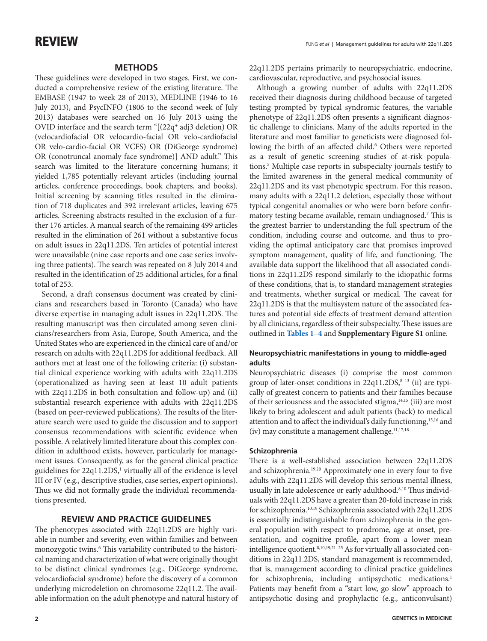# **METHODS**

These guidelines were developed in two stages. First, we conducted a comprehensive review of the existing literature. The EMBASE (1947 to week 28 of 2013), MEDLINE (1946 to 16 July 2013), and PsycINFO (1806 to the second week of July 2013) databases were searched on 16 July 2013 using the OVID interface and the search term "[(22q\* adj3 deletion) OR (velocardiofacial OR velocardio-facial OR velo-cardiofacial OR velo-cardio-facial OR VCFS) OR (DiGeorge syndrome) OR (conotruncal anomaly face syndrome)] AND adult." This search was limited to the literature concerning humans; it yielded 1,785 potentially relevant articles (including journal articles, conference proceedings, book chapters, and books). Initial screening by scanning titles resulted in the elimination of 718 duplicates and 392 irrelevant articles, leaving 675 articles. Screening abstracts resulted in the exclusion of a further 176 articles. A manual search of the remaining 499 articles resulted in the elimination of 261 without a substantive focus on adult issues in 22q11.2DS. Ten articles of potential interest were unavailable (nine case reports and one case series involving three patients). The search was repeated on 8 July 2014 and resulted in the identification of 25 additional articles, for a final total of 253.

Second, a draft consensus document was created by clinicians and researchers based in Toronto (Canada) who have diverse expertise in managing adult issues in 22q11.2DS. The resulting manuscript was then circulated among seven clinicians/researchers from Asia, Europe, South America, and the United States who are experienced in the clinical care of and/or research on adults with 22q11.2DS for additional feedback. All authors met at least one of the following criteria: (i) substantial clinical experience working with adults with 22q11.2DS (operationalized as having seen at least 10 adult patients with 22q11.2DS in both consultation and follow-up) and (ii) substantial research experience with adults with 22q11.2DS (based on peer-reviewed publications). The results of the literature search were used to guide the discussion and to support consensus recommendations with scientific evidence when possible. A relatively limited literature about this complex condition in adulthood exists, however, particularly for management issues. Consequently, as for the general clinical practice guidelines for 22q11.2DS,<sup>1</sup> virtually all of the evidence is level III or IV (e.g., descriptive studies, case series, expert opinions). Thus we did not formally grade the individual recommendations presented.

# **REVIEW AND PRACTICE GUIDELINES**

The phenotypes associated with 22q11.2DS are highly variable in number and severity, even within families and between monozygotic twins.<sup>6</sup> This variability contributed to the historical naming and characterization of what were originally thought to be distinct clinical syndromes (e.g., DiGeorge syndrome, velocardiofacial syndrome) before the discovery of a common underlying microdeletion on chromosome 22q11.2. The available information on the adult phenotype and natural history of 22q11.2DS pertains primarily to neuropsychiatric, endocrine, cardiovascular, reproductive, and psychosocial issues.

Although a growing number of adults with 22q11.2DS received their diagnosis during childhood because of targeted testing prompted by typical syndromic features, the variable phenotype of 22q11.2DS often presents a significant diagnostic challenge to clinicians. Many of the adults reported in the literature and most familiar to geneticists were diagnosed following the birth of an affected child.<sup>6</sup> Others were reported as a result of genetic screening studies of at-risk populations.5 Multiple case reports in subspecialty journals testify to the limited awareness in the general medical community of 22q11.2DS and its vast phenotypic spectrum. For this reason, many adults with a 22q11.2 deletion, especially those without typical congenital anomalies or who were born before confirmatory testing became available, remain undiagnosed.7 This is the greatest barrier to understanding the full spectrum of the condition, including course and outcome, and thus to providing the optimal anticipatory care that promises improved symptom management, quality of life, and functioning. The available data support the likelihood that all associated conditions in 22q11.2DS respond similarly to the idiopathic forms of these conditions, that is, to standard management strategies and treatments, whether surgical or medical. The caveat for 22q11.2DS is that the multisystem nature of the associated features and potential side effects of treatment demand attention by all clinicians, regardless of their subspecialty. These issues are outlined in **Tables 1**–**4** and **Supplementary Figure S1** online.

# **Neuropsychiatric manifestations in young to middle-aged adults**

Neuropsychiatric diseases (i) comprise the most common group of later-onset conditions in  $22q11.2DS$ ,  $8-13$  (ii) are typically of greatest concern to patients and their families because of their seriousness and the associated stigma,<sup>14,15</sup> (iii) are most likely to bring adolescent and adult patients (back) to medical attention and to affect the individual's daily functioning,<sup>15,16</sup> and (iv) may constitute a management challenge.<sup>11,17,18</sup>

### **Schizophrenia**

There is a well-established association between 22q11.2DS and schizophrenia.<sup>19,20</sup> Approximately one in every four to five adults with 22q11.2DS will develop this serious mental illness, usually in late adolescence or early adulthood.<sup>8,10</sup> Thus individuals with 22q11.2DS have a greater than 20-fold increase in risk for schizophrenia.10,19 Schizophrenia associated with 22q11.2DS is essentially indistinguishable from schizophrenia in the general population with respect to prodrome, age at onset, presentation, and cognitive profile, apart from a lower mean intelligence quotient.<sup>8,10,19,21-25</sup> As for virtually all associated conditions in 22q11.2DS, standard management is recommended, that is, management according to clinical practice guidelines for schizophrenia, including antipsychotic medications.<sup>1</sup> Patients may benefit from a "start low, go slow" approach to antipsychotic dosing and prophylactic (e.g., anticonvulsant)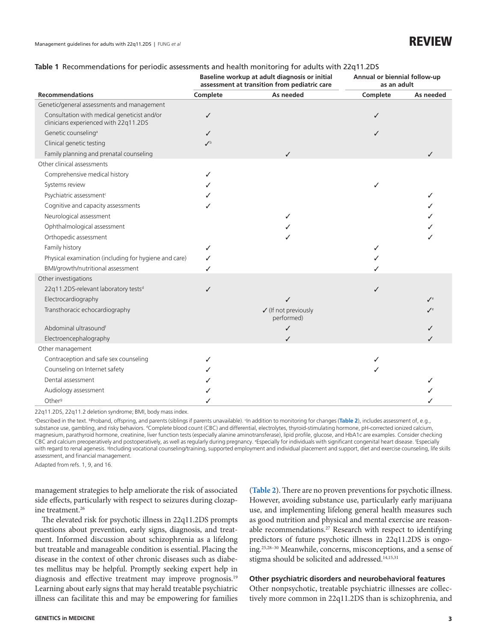|                                                                                      | Baseline workup at adult diagnosis or initial<br>assessment at transition from pediatric care |                                               | Annual or biennial follow-up<br>as an adult |                 |
|--------------------------------------------------------------------------------------|-----------------------------------------------------------------------------------------------|-----------------------------------------------|---------------------------------------------|-----------------|
| <b>Recommendations</b>                                                               | Complete                                                                                      | As needed                                     | Complete                                    | As needed       |
| Genetic/general assessments and management                                           |                                                                                               |                                               |                                             |                 |
| Consultation with medical geneticist and/or<br>clinicians experienced with 22q11.2DS | ✓                                                                                             |                                               |                                             |                 |
| Genetic counseling <sup>a</sup>                                                      | ✓                                                                                             |                                               | ✓                                           |                 |
| Clinical genetic testing                                                             | $\mathcal{I}^{\rm b}$                                                                         |                                               |                                             |                 |
| Family planning and prenatal counseling                                              |                                                                                               | $\checkmark$                                  |                                             | ✓               |
| Other clinical assessments                                                           |                                                                                               |                                               |                                             |                 |
| Comprehensive medical history                                                        | ✓                                                                                             |                                               |                                             |                 |
| Systems review                                                                       |                                                                                               |                                               | ✓                                           |                 |
| Psychiatric assessment <sup>c</sup>                                                  |                                                                                               |                                               |                                             |                 |
| Cognitive and capacity assessments                                                   |                                                                                               |                                               |                                             |                 |
| Neurological assessment                                                              |                                                                                               | ✓                                             |                                             |                 |
| Ophthalmological assessment                                                          |                                                                                               |                                               |                                             |                 |
| Orthopedic assessment                                                                |                                                                                               |                                               |                                             |                 |
| Family history                                                                       | ✓                                                                                             |                                               | ✓                                           |                 |
| Physical examination (including for hygiene and care)                                | ℐ                                                                                             |                                               |                                             |                 |
| BMI/growth/nutritional assessment                                                    | ✓                                                                                             |                                               |                                             |                 |
| Other investigations                                                                 |                                                                                               |                                               |                                             |                 |
| 22q11.2DS-relevant laboratory tests <sup>d</sup>                                     | ✓                                                                                             |                                               | ✓                                           |                 |
| Electrocardiography                                                                  |                                                                                               | ✓                                             |                                             | $\mathscr{N}$ e |
| Transthoracic echocardiography                                                       |                                                                                               | $\checkmark$ (If not previously<br>performed) |                                             |                 |
| Abdominal ultrasoundf                                                                |                                                                                               | ✓                                             |                                             |                 |
| Electroencephalography                                                               |                                                                                               | ✓                                             |                                             |                 |
| Other management                                                                     |                                                                                               |                                               |                                             |                 |
| Contraception and safe sex counseling                                                | ✓                                                                                             |                                               |                                             |                 |
| Counseling on Internet safety                                                        |                                                                                               |                                               |                                             |                 |
| Dental assessment                                                                    |                                                                                               |                                               |                                             |                 |
| Audiology assessment                                                                 |                                                                                               |                                               |                                             |                 |
| Other <sup>9</sup>                                                                   |                                                                                               |                                               |                                             |                 |

22q11.2DS, 22q11.2 deletion syndrome; BMI, body mass index.

<sup>a</sup>Described in the text. <sup>b</sup>Proband, offspring, and parents (siblings if parents unavailable). In addition to monitoring for changes (Table 2), includes assessment of, e.g., substance use, gambling, and risky behaviors. <sup>a</sup>Complete blood count (CBC) and differential, electrolytes, thyroid-stimulating hormone, pH-corrected ionized calcium, magnesium, parathyroid hormone, creatinine, liver function tests (especially alanine aminotransferase), lipid profile, glucose, and HbA1c are examples. Consider checking CBC and calcium preoperatively and postoperatively, as well as regularly during pregnancy. <sup>e</sup>Especially for individuals with significant congenital heart disease. <sup>1</sup>Especially with regard to renal agenesis. g Including vocational counseling/training, supported employment and individual placement and support, diet and exercise counseling, life skills assessment, and financial management.

Adapted from refs. 1, 9, and 16.

management strategies to help ameliorate the risk of associated side effects, particularly with respect to seizures during clozapine treatment.<sup>26</sup>

The elevated risk for psychotic illness in 22q11.2DS prompts questions about prevention, early signs, diagnosis, and treatment. Informed discussion about schizophrenia as a lifelong but treatable and manageable condition is essential. Placing the disease in the context of other chronic diseases such as diabetes mellitus may be helpful. Promptly seeking expert help in diagnosis and effective treatment may improve prognosis.<sup>19</sup> Learning about early signs that may herald treatable psychiatric illness can facilitate this and may be empowering for families (**Table 2**). There are no proven preventions for psychotic illness. However, avoiding substance use, particularly early marijuana use, and implementing lifelong general health measures such as good nutrition and physical and mental exercise are reasonable recommendations.<sup>27</sup> Research with respect to identifying predictors of future psychotic illness in 22q11.2DS is ongoing.25,28–30 Meanwhile, concerns, misconceptions, and a sense of stigma should be solicited and addressed.<sup>14,15,31</sup>

# **Other psychiatric disorders and neurobehavioral features**

Other nonpsychotic, treatable psychiatric illnesses are collectively more common in 22q11.2DS than is schizophrenia, and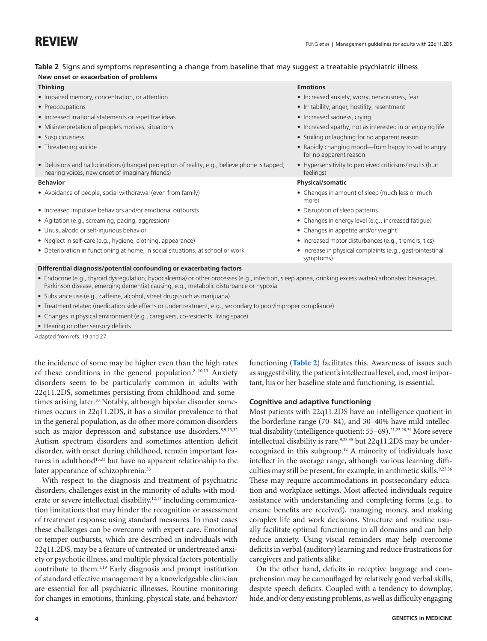# **Table 2** Signs and symptoms representing a change from baseline that may suggest a treatable psychiatric illness **New onset or exacerbation of problems**

| <b>Thinking</b>                                                                                                                                  | <b>Emotions</b>                                                              |  |
|--------------------------------------------------------------------------------------------------------------------------------------------------|------------------------------------------------------------------------------|--|
| • Impaired memory, concentration, or attention                                                                                                   | • Increased anxiety, worry, nervousness, fear                                |  |
| • Preoccupations                                                                                                                                 | • Irritability, anger, hostility, resentment                                 |  |
| • Increased irrational statements or repetitive ideas                                                                                            | • Increased sadness, crying                                                  |  |
| • Misinterpretation of people's motives, situations                                                                                              | • Increased apathy, not as interested in or enjoying life                    |  |
| • Suspiciousness                                                                                                                                 | • Smiling or laughing for no apparent reason                                 |  |
| • Threatening suicide                                                                                                                            | • Rapidly changing mood—from happy to sad to angry<br>for no apparent reason |  |
| · Delusions and hallucinations (changed perception of reality, e.g., believe phone is tapped,<br>hearing voices, new onset of imaginary friends) | • Hypersensitivity to perceived criticisms/insults (hurt<br>feelings)        |  |
| <b>Behavior</b>                                                                                                                                  |                                                                              |  |
|                                                                                                                                                  | Physical/somatic                                                             |  |
| • Avoidance of people, social withdrawal (even from family)                                                                                      | • Changes in amount of sleep (much less or much<br>more)                     |  |
| • Increased impulsive behaviors and/or emotional outbursts                                                                                       | • Disruption of sleep patterns                                               |  |
| • Agitation (e.g., screaming, pacing, aggression)                                                                                                | • Changes in energy level (e.g., increased fatigue)                          |  |
| • Unusual/odd or self-injurious behavior                                                                                                         | • Changes in appetite and/or weight                                          |  |
| • Neglect in self-care (e.g., hygiene, clothing, appearance)                                                                                     | • Increased motor disturbances (e.g., tremors, tics)                         |  |
| • Deterioration in functioning at home, in social situations, at school or work                                                                  | • Increase in physical complaints (e.g., gastrointestinal<br>symptoms)       |  |
| Differential diagnosis/potential confounding or exacerbating factors                                                                             |                                                                              |  |

- Endocrine (e.g., thyroid dysregulation, hypocalcemia) or other processes (e.g., infection, sleep apnea, drinking excess water/carbonated beverages, Parkinson disease, emerging dementia) causing, e.g., metabolic disturbance or hypoxia
- Substance use (e.g., caffeine, alcohol, street drugs such as marijuana)
- Treatment related (medication side effects or undertreatment, e.g., secondary to poor/improper compliance)
- Changes in physical environment (e.g., caregivers, co-residents, living space)
- Hearing or other sensory deficits

Adapted from refs. 19 and 27.

the incidence of some may be higher even than the high rates of these conditions in the general population.<sup>8-10,13</sup> Anxiety disorders seem to be particularly common in adults with 22q11.2DS, sometimes persisting from childhood and sometimes arising later.<sup>10</sup> Notably, although bipolar disorder sometimes occurs in 22q11.2DS, it has a similar prevalence to that in the general population, as do other more common disorders such as major depression and substance use disorders.<sup>8,9,13,32</sup> Autism spectrum disorders and sometimes attention deficit disorder, with onset during childhood, remain important features in adulthood<sup>13,33</sup> but have no apparent relationship to the later appearance of schizophrenia.<sup>33</sup>

With respect to the diagnosis and treatment of psychiatric disorders, challenges exist in the minority of adults with moderate or severe intellectual disability,<sup>12,17</sup> including communication limitations that may hinder the recognition or assessment of treatment response using standard measures. In most cases these challenges can be overcome with expert care. Emotional or temper outbursts, which are described in individuals with 22q11.2DS, may be a feature of untreated or undertreated anxiety or psychotic illness, and multiple physical factors potentially contribute to them.1,19 Early diagnosis and prompt institution of standard effective management by a knowledgeable clinician are essential for all psychiatric illnesses. Routine monitoring for changes in emotions, thinking, physical state, and behavior/

functioning (**Table 2**) facilitates this. Awareness of issues such as suggestibility, the patient's intellectual level, and, most important, his or her baseline state and functioning, is essential.

### **Cognitive and adaptive functioning**

Most patients with 22q11.2DS have an intelligence quotient in the borderline range (70–84), and 30–40% have mild intellectual disability (intelligence quotient: 55-69).<sup>21,23,28,34</sup> More severe intellectual disability is rare,<sup>9,23,35</sup> but 22q11.2DS may be underrecognized in this subgroup.<sup>12</sup> A minority of individuals have intellect in the average range, although various learning difficulties may still be present, for example, in arithmetic skills.<sup>9,23,36</sup> These may require accommodations in postsecondary education and workplace settings. Most affected individuals require assistance with understanding and completing forms (e.g., to ensure benefits are received), managing money, and making complex life and work decisions. Structure and routine usually facilitate optimal functioning in all domains and can help reduce anxiety. Using visual reminders may help overcome deficits in verbal (auditory) learning and reduce frustrations for caregivers and patients alike.

On the other hand, deficits in receptive language and comprehension may be camouflaged by relatively good verbal skills, despite speech deficits. Coupled with a tendency to downplay, hide, and/or deny existing problems, as well as difficulty engaging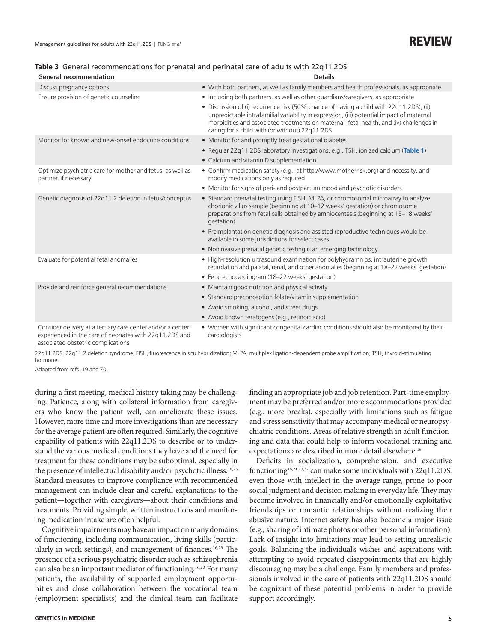

# **Table 3** General recommendations for prenatal and perinatal care of adults with 22q11.2DS

| <b>General recommendation</b>                                                                                                                               | <b>Details</b>                                                                                                                                                                                                                                                                                                                   |  |
|-------------------------------------------------------------------------------------------------------------------------------------------------------------|----------------------------------------------------------------------------------------------------------------------------------------------------------------------------------------------------------------------------------------------------------------------------------------------------------------------------------|--|
| Discuss pregnancy options                                                                                                                                   | • With both partners, as well as family members and health professionals, as appropriate                                                                                                                                                                                                                                         |  |
| Ensure provision of genetic counseling                                                                                                                      | • Including both partners, as well as other quardians/caregivers, as appropriate                                                                                                                                                                                                                                                 |  |
|                                                                                                                                                             | · Discussion of (i) recurrence risk (50% chance of having a child with 22q11.2DS), (ii)<br>unpredictable intrafamilial variability in expression, (iii) potential impact of maternal<br>morbidities and associated treatments on maternal-fetal health, and (iv) challenges in<br>caring for a child with (or without) 22q11.2DS |  |
| Monitor for known and new-onset endocrine conditions                                                                                                        | • Monitor for and promptly treat gestational diabetes                                                                                                                                                                                                                                                                            |  |
|                                                                                                                                                             | • Regular 22q11.2DS laboratory investigations, e.g., TSH, ionized calcium (Table 1)                                                                                                                                                                                                                                              |  |
|                                                                                                                                                             | • Calcium and vitamin D supplementation                                                                                                                                                                                                                                                                                          |  |
| Optimize psychiatric care for mother and fetus, as well as<br>partner, if necessary                                                                         | • Confirm medication safety (e.g., at http://www.motherrisk.org) and necessity, and<br>modify medications only as required                                                                                                                                                                                                       |  |
|                                                                                                                                                             | • Monitor for signs of peri- and postpartum mood and psychotic disorders                                                                                                                                                                                                                                                         |  |
| Genetic diagnosis of 22q11.2 deletion in fetus/conceptus                                                                                                    | • Standard prenatal testing using FISH, MLPA, or chromosomal microarray to analyze<br>chorionic villus sample (beginning at 10-12 weeks' gestation) or chromosome<br>preparations from fetal cells obtained by amniocentesis (beginning at 15-18 weeks'<br>gestation)                                                            |  |
|                                                                                                                                                             | • Preimplantation genetic diagnosis and assisted reproductive techniques would be<br>available in some jurisdictions for select cases                                                                                                                                                                                            |  |
|                                                                                                                                                             | • Noninvasive prenatal genetic testing is an emerging technology                                                                                                                                                                                                                                                                 |  |
| Evaluate for potential fetal anomalies                                                                                                                      | • High-resolution ultrasound examination for polyhydramnios, intrauterine growth<br>retardation and palatal, renal, and other anomalies (beginning at 18-22 weeks' gestation)                                                                                                                                                    |  |
|                                                                                                                                                             | • Fetal echocardiogram (18-22 weeks' gestation)                                                                                                                                                                                                                                                                                  |  |
| Provide and reinforce general recommendations                                                                                                               | • Maintain good nutrition and physical activity                                                                                                                                                                                                                                                                                  |  |
|                                                                                                                                                             | • Standard preconception folate/vitamin supplementation                                                                                                                                                                                                                                                                          |  |
|                                                                                                                                                             | • Avoid smoking, alcohol, and street drugs                                                                                                                                                                                                                                                                                       |  |
|                                                                                                                                                             | • Avoid known teratogens (e.g., retinoic acid)                                                                                                                                                                                                                                                                                   |  |
| Consider delivery at a tertiary care center and/or a center<br>experienced in the care of neonates with 22q11.2DS and<br>associated obstetric complications | • Women with significant congenital cardiac conditions should also be monitored by their<br>cardiologists                                                                                                                                                                                                                        |  |

22q11.2DS, 22q11.2 deletion syndrome; FISH, fluorescence in situ hybridization; MLPA, multiplex ligation-dependent probe amplification; TSH, thyroid-stimulating hormone.

Adapted from refs. 19 and 70.

during a first meeting, medical history taking may be challenging. Patience, along with collateral information from caregivers who know the patient well, can ameliorate these issues. However, more time and more investigations than are necessary for the average patient are often required. Similarly, the cognitive capability of patients with 22q11.2DS to describe or to understand the various medical conditions they have and the need for treatment for these conditions may be suboptimal, especially in the presence of intellectual disability and/or psychotic illness.<sup>16,23</sup> Standard measures to improve compliance with recommended management can include clear and careful explanations to the patient—together with caregivers—about their conditions and treatments. Providing simple, written instructions and monitoring medication intake are often helpful.

Cognitive impairments may have an impact on many domains of functioning, including communication, living skills (particularly in work settings), and management of finances.<sup>16,23</sup> The presence of a serious psychiatric disorder such as schizophrenia can also be an important mediator of functioning.16,23 For many patients, the availability of supported employment opportunities and close collaboration between the vocational team (employment specialists) and the clinical team can facilitate

finding an appropriate job and job retention. Part-time employment may be preferred and/or more accommodations provided (e.g., more breaks), especially with limitations such as fatigue and stress sensitivity that may accompany medical or neuropsychiatric conditions. Areas of relative strength in adult functioning and data that could help to inform vocational training and expectations are described in more detail elsewhere.<sup>16</sup>

Deficits in socialization, comprehension, and executive functioning<sup>16,21,23,37</sup> can make some individuals with 22q11.2DS, even those with intellect in the average range, prone to poor social judgment and decision making in everyday life. They may become involved in financially and/or emotionally exploitative friendships or romantic relationships without realizing their abusive nature. Internet safety has also become a major issue (e.g., sharing of intimate photos or other personal information). Lack of insight into limitations may lead to setting unrealistic goals. Balancing the individual's wishes and aspirations with attempting to avoid repeated disappointments that are highly discouraging may be a challenge. Family members and professionals involved in the care of patients with 22q11.2DS should be cognizant of these potential problems in order to provide support accordingly.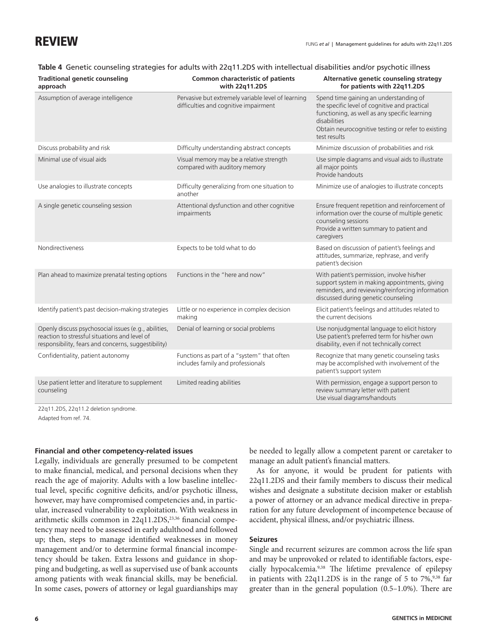| <b>Traditional genetic counseling</b><br>approach                                                                                                            | Common characteristic of patients<br>with 22q11.2DS                                         | Alternative genetic counseling strategy<br>for patients with 22q11.2DS                                                                                                                                                         |
|--------------------------------------------------------------------------------------------------------------------------------------------------------------|---------------------------------------------------------------------------------------------|--------------------------------------------------------------------------------------------------------------------------------------------------------------------------------------------------------------------------------|
| Assumption of average intelligence                                                                                                                           | Pervasive but extremely variable level of learning<br>difficulties and cognitive impairment | Spend time gaining an understanding of<br>the specific level of cognitive and practical<br>functioning, as well as any specific learning<br>disabilities<br>Obtain neurocognitive testing or refer to existing<br>test results |
| Discuss probability and risk                                                                                                                                 | Difficulty understanding abstract concepts                                                  | Minimize discussion of probabilities and risk                                                                                                                                                                                  |
| Minimal use of visual aids                                                                                                                                   | Visual memory may be a relative strength<br>compared with auditory memory                   | Use simple diagrams and visual aids to illustrate<br>all major points<br>Provide handouts                                                                                                                                      |
| Use analogies to illustrate concepts                                                                                                                         | Difficulty generalizing from one situation to<br>another                                    | Minimize use of analogies to illustrate concepts                                                                                                                                                                               |
| A single genetic counseling session                                                                                                                          | Attentional dysfunction and other cognitive<br>impairments                                  | Ensure frequent repetition and reinforcement of<br>information over the course of multiple genetic<br>counseling sessions<br>Provide a written summary to patient and<br>caregivers                                            |
| Nondirectiveness                                                                                                                                             | Expects to be told what to do                                                               | Based on discussion of patient's feelings and<br>attitudes, summarize, rephrase, and verify<br>patient's decision                                                                                                              |
| Plan ahead to maximize prenatal testing options                                                                                                              | Functions in the "here and now"                                                             | With patient's permission, involve his/her<br>support system in making appointments, giving<br>reminders, and reviewing/reinforcing information<br>discussed during genetic counseling                                         |
| Identify patient's past decision-making strategies                                                                                                           | Little or no experience in complex decision<br>making                                       | Elicit patient's feelings and attitudes related to<br>the current decisions                                                                                                                                                    |
| Openly discuss psychosocial issues (e.g., abilities,<br>reaction to stressful situations and level of<br>responsibility, fears and concerns, suggestibility) | Denial of learning or social problems                                                       | Use nonjudgmental language to elicit history<br>Use patient's preferred term for his/her own<br>disability, even if not technically correct                                                                                    |
| Confidentiality, patient autonomy                                                                                                                            | Functions as part of a "system" that often<br>includes family and professionals             | Recognize that many genetic counseling tasks<br>may be accomplished with involvement of the<br>patient's support system                                                                                                        |
| Use patient letter and literature to supplement<br>counseling                                                                                                | Limited reading abilities                                                                   | With permission, engage a support person to<br>review summary letter with patient<br>Use visual diagrams/handouts                                                                                                              |

# **Table 4** Genetic counseling strategies for adults with 22q11.2DS with intellectual disabilities and/or psychotic illness

22q11.2DS, 22q11.2 deletion syndrome.

Adapted from ref. 74.

# **Financial and other competency-related issues**

Legally, individuals are generally presumed to be competent to make financial, medical, and personal decisions when they reach the age of majority. Adults with a low baseline intellectual level, specific cognitive deficits, and/or psychotic illness, however, may have compromised competencies and, in particular, increased vulnerability to exploitation. With weakness in arithmetic skills common in 22q11.2DS,<sup>23,36</sup> financial competency may need to be assessed in early adulthood and followed up; then, steps to manage identified weaknesses in money management and/or to determine formal financial incompetency should be taken. Extra lessons and guidance in shopping and budgeting, as well as supervised use of bank accounts among patients with weak financial skills, may be beneficial. In some cases, powers of attorney or legal guardianships may be needed to legally allow a competent parent or caretaker to manage an adult patient's financial matters.

As for anyone, it would be prudent for patients with 22q11.2DS and their family members to discuss their medical wishes and designate a substitute decision maker or establish a power of attorney or an advance medical directive in preparation for any future development of incompetence because of accident, physical illness, and/or psychiatric illness.

# **Seizures**

Single and recurrent seizures are common across the life span and may be unprovoked or related to identifiable factors, especially hypocalcemia.9,38 The lifetime prevalence of epilepsy in patients with 22q11.2DS is in the range of 5 to 7%,<sup>9,38</sup> far greater than in the general population (0.5–1.0%). There are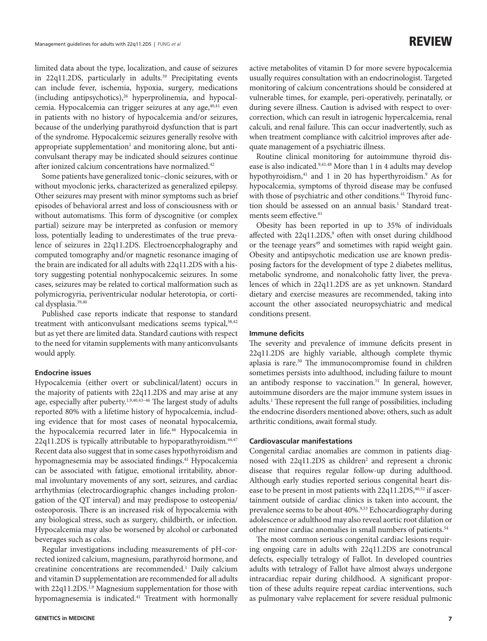limited data about the type, localization, and cause of seizures in 22q11.2DS, particularly in adults.<sup>39</sup> Precipitating events can include fever, ischemia, hypoxia, surgery, medications (including antipsychotics),<sup>26</sup> hyperprolinemia, and hypocalcemia. Hypocalcemia can trigger seizures at any age, <sup>40,41</sup> even in patients with no history of hypocalcemia and/or seizures, because of the underlying parathyroid dysfunction that is part of the syndrome. Hypocalcemic seizures generally resolve with appropriate supplementation<sup>1</sup> and monitoring alone, but anticonvulsant therapy may be indicated should seizures continue after ionized calcium concentrations have normalized.<sup>42</sup>

Some patients have generalized tonic–clonic seizures, with or without myoclonic jerks, characterized as generalized epilepsy. Other seizures may present with minor symptoms such as brief episodes of behavioral arrest and loss of consciousness with or without automatisms. This form of dyscognitive (or complex partial) seizure may be interpreted as confusion or memory loss, potentially leading to underestimates of the true prevalence of seizures in 22q11.2DS. Electroencephalography and computed tomography and/or magnetic resonance imaging of the brain are indicated for all adults with 22q11.2DS with a history suggesting potential nonhypocalcemic seizures. In some cases, seizures may be related to cortical malformation such as polymicrogyria, periventricular nodular heterotopia, or cortical dysplasia.<sup>39,40</sup>

Published case reports indicate that response to standard treatment with anticonvulsant medications seems typical,<sup>38,42</sup> but as yet there are limited data. Standard cautions with respect to the need for vitamin supplements with many anticonvulsants would apply.

### **Endocrine issues**

Hypocalcemia (either overt or subclinical/latent) occurs in the majority of patients with 22q11.2DS and may arise at any age, especially after puberty.<sup>1,9,40,43-46</sup> The largest study of adults reported 80% with a lifetime history of hypocalcemia, including evidence that for most cases of neonatal hypocalcemia, the hypocalcemia recurred later in life.<sup>46</sup> Hypocalcemia in 22q11.2DS is typically attributable to hypoparathyroidism.<sup>44,47</sup> Recent data also suggest that in some cases hypothyroidism and hypomagnesemia may be associated findings.<sup>41</sup> Hypocalcemia can be associated with fatigue, emotional irritability, abnormal involuntary movements of any sort, seizures, and cardiac arrhythmias (electrocardiographic changes including prolongation of the QT interval) and may predispose to osteopenia/ osteoporosis. There is an increased risk of hypocalcemia with any biological stress, such as surgery, childbirth, or infection. Hypocalcemia may also be worsened by alcohol or carbonated beverages such as colas.

Regular investigations including measurements of pH-corrected ionized calcium, magnesium, parathyroid hormone, and creatinine concentrations are recommended.<sup>1</sup> Daily calcium and vitamin D supplementation are recommended for all adults with 22q11.2DS.<sup>1,9</sup> Magnesium supplementation for those with hypomagnesemia is indicated.<sup>41</sup> Treatment with hormonally

active metabolites of vitamin D for more severe hypocalcemia usually requires consultation with an endocrinologist. Targeted monitoring of calcium concentrations should be considered at vulnerable times, for example, peri-operatively, perinatally, or during severe illness. Caution is advised with respect to overcorrection, which can result in iatrogenic hypercalcemia, renal calculi, and renal failure. This can occur inadvertently, such as when treatment compliance with calcitriol improves after adequate management of a psychiatric illness.

Routine clinical monitoring for autoimmune thyroid disease is also indicated.<sup>9,41,48</sup> More than 1 in 4 adults may develop hypothyroidism,41 and 1 in 20 has hyperthyroidism.9 As for hypocalcemia, symptoms of thyroid disease may be confused with those of psychiatric and other conditions.<sup>41</sup> Thyroid function should be assessed on an annual basis.<sup>1</sup> Standard treatments seem effective.<sup>41</sup>

Obesity has been reported in up to 35% of individuals affected with 22q11.2DS,<sup>9</sup> often with onset during childhood or the teenage years<sup>49</sup> and sometimes with rapid weight gain. Obesity and antipsychotic medication use are known predisposing factors for the development of type 2 diabetes mellitus, metabolic syndrome, and nonalcoholic fatty liver, the prevalences of which in 22q11.2DS are as yet unknown. Standard dietary and exercise measures are recommended, taking into account the other associated neuropsychiatric and medical conditions present.

#### **Immune deficits**

The severity and prevalence of immune deficits present in 22q11.2DS are highly variable, although complete thymic aplasia is rare.<sup>50</sup> The immunocompromise found in children sometimes persists into adulthood, including failure to mount an antibody response to vaccination.<sup>51</sup> In general, however, autoimmune disorders are the major immune system issues in adults.<sup>1</sup> These represent the full range of possibilities, including the endocrine disorders mentioned above; others, such as adult arthritic conditions, await formal study.

# **Cardiovascular manifestations**

Congenital cardiac anomalies are common in patients diagnosed with 22q11.2DS as children<sup>2</sup> and represent a chronic disease that requires regular follow-up during adulthood. Although early studies reported serious congenital heart disease to be present in most patients with 22q11.2DS,<sup>40,52</sup> if ascertainment outside of cardiac clinics is taken into account, the prevalence seems to be about 40%.<sup>9,53</sup> Echocardiography during adolescence or adulthood may also reveal aortic root dilation or other minor cardiac anomalies in small numbers of patients.<sup>54</sup>

The most common serious congenital cardiac lesions requiring ongoing care in adults with 22q11.2DS are conotruncal defects, especially tetralogy of Fallot. In developed countries adults with tetralogy of Fallot have almost always undergone intracardiac repair during childhood. A significant proportion of these adults require repeat cardiac interventions, such as pulmonary valve replacement for severe residual pulmonic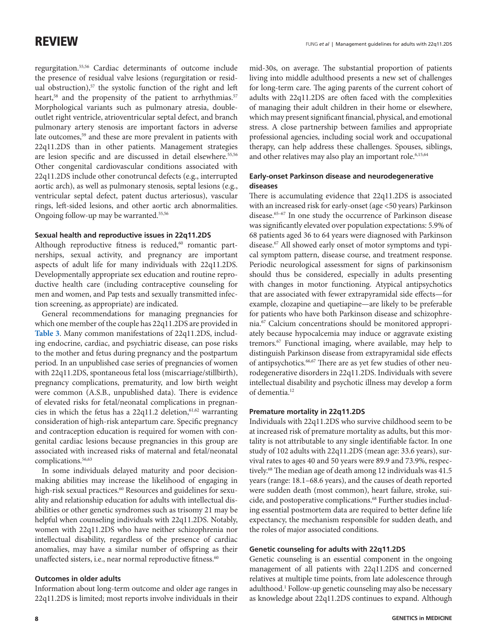regurgitation.55,56 Cardiac determinants of outcome include the presence of residual valve lesions (regurgitation or residual obstruction),<sup>57</sup> the systolic function of the right and left heart,<sup>58</sup> and the propensity of the patient to arrhythmias.<sup>57</sup> Morphological variants such as pulmonary atresia, doubleoutlet right ventricle, atrioventricular septal defect, and branch pulmonary artery stenosis are important factors in adverse late outcomes,<sup>59</sup> and these are more prevalent in patients with 22q11.2DS than in other patients. Management strategies are lesion specific and are discussed in detail elsewhere.<sup>55,56</sup> Other congenital cardiovascular conditions associated with 22q11.2DS include other conotruncal defects (e.g., interrupted aortic arch), as well as pulmonary stenosis, septal lesions (e.g., ventricular septal defect, patent ductus arteriosus), vascular rings, left-sided lesions, and other aortic arch abnormalities. Ongoing follow-up may be warranted.55,56

# **Sexual health and reproductive issues in 22q11.2DS**

Although reproductive fitness is reduced,<sup>60</sup> romantic partnerships, sexual activity, and pregnancy are important aspects of adult life for many individuals with 22q11.2DS. Developmentally appropriate sex education and routine reproductive health care (including contraceptive counseling for men and women, and Pap tests and sexually transmitted infection screening, as appropriate) are indicated.

General recommendations for managing pregnancies for which one member of the couple has 22q11.2DS are provided in **Table 3**. Many common manifestations of 22q11.2DS, including endocrine, cardiac, and psychiatric disease, can pose risks to the mother and fetus during pregnancy and the postpartum period. In an unpublished case series of pregnancies of women with 22q11.2DS, spontaneous fetal loss (miscarriage/stillbirth), pregnancy complications, prematurity, and low birth weight were common (A.S.B., unpublished data). There is evidence of elevated risks for fetal/neonatal complications in pregnancies in which the fetus has a  $22q11.2$  deletion,<sup>61,62</sup> warranting consideration of high-risk antepartum care. Specific pregnancy and contraception education is required for women with congenital cardiac lesions because pregnancies in this group are associated with increased risks of maternal and fetal/neonatal complications.<sup>56,63</sup>

In some individuals delayed maturity and poor decisionmaking abilities may increase the likelihood of engaging in high-risk sexual practices.<sup>60</sup> Resources and guidelines for sexuality and relationship education for adults with intellectual disabilities or other genetic syndromes such as trisomy 21 may be helpful when counseling individuals with 22q11.2DS. Notably, women with 22q11.2DS who have neither schizophrenia nor intellectual disability, regardless of the presence of cardiac anomalies, may have a similar number of offspring as their unaffected sisters, i.e., near normal reproductive fitness.<sup>60</sup>

# **Outcomes in older adults**

Information about long-term outcome and older age ranges in 22q11.2DS is limited; most reports involve individuals in their mid-30s, on average. The substantial proportion of patients living into middle adulthood presents a new set of challenges for long-term care. The aging parents of the current cohort of adults with 22q11.2DS are often faced with the complexities of managing their adult children in their home or elsewhere, which may present significant financial, physical, and emotional stress. A close partnership between families and appropriate professional agencies, including social work and occupational therapy, can help address these challenges. Spouses, siblings, and other relatives may also play an important role.<sup>6,15,64</sup>

# **Early-onset Parkinson disease and neurodegenerative diseases**

There is accumulating evidence that 22q11.2DS is associated with an increased risk for early-onset (age <50 years) Parkinson disease.<sup>65-67</sup> In one study the occurrence of Parkinson disease was significantly elevated over population expectations: 5.9% of 68 patients aged 36 to 64 years were diagnosed with Parkinson disease.<sup>67</sup> All showed early onset of motor symptoms and typical symptom pattern, disease course, and treatment response. Periodic neurological assessment for signs of parkinsonism should thus be considered, especially in adults presenting with changes in motor functioning. Atypical antipsychotics that are associated with fewer extrapyramidal side effects—for example, clozapine and quetiapine—are likely to be preferable for patients who have both Parkinson disease and schizophrenia.67 Calcium concentrations should be monitored appropriately because hypocalcemia may induce or aggravate existing tremors.<sup>67</sup> Functional imaging, where available, may help to distinguish Parkinson disease from extrapyramidal side effects of antipsychotics.66,67 There are as yet few studies of other neurodegenerative disorders in 22q11.2DS. Individuals with severe intellectual disability and psychotic illness may develop a form of dementia.12

# **Premature mortality in 22q11.2DS**

Individuals with 22q11.2DS who survive childhood seem to be at increased risk of premature mortality as adults, but this mortality is not attributable to any single identifiable factor. In one study of 102 adults with 22q11.2DS (mean age: 33.6 years), survival rates to ages 40 and 50 years were 89.9 and 73.9%, respectively.<sup>68</sup> The median age of death among 12 individuals was 41.5 years (range: 18.1–68.6 years), and the causes of death reported were sudden death (most common), heart failure, stroke, suicide, and postoperative complications.<sup>68</sup> Further studies including essential postmortem data are required to better define life expectancy, the mechanism responsible for sudden death, and the roles of major associated conditions.

# **Genetic counseling for adults with 22q11.2DS**

Genetic counseling is an essential component in the ongoing management of all patients with 22q11.2DS and concerned relatives at multiple time points, from late adolescence through adulthood.1 Follow-up genetic counseling may also be necessary as knowledge about 22q11.2DS continues to expand. Although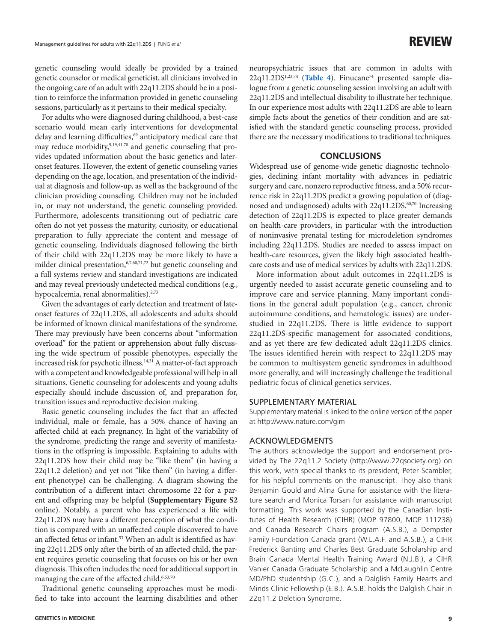genetic counseling would ideally be provided by a trained genetic counselor or medical geneticist, all clinicians involved in the ongoing care of an adult with 22q11.2DS should be in a position to reinforce the information provided in genetic counseling sessions, particularly as it pertains to their medical specialty.

For adults who were diagnosed during childhood, a best-case scenario would mean early interventions for developmental delay and learning difficulties,<sup>69</sup> anticipatory medical care that may reduce morbidity,<sup>9,19,41,70</sup> and genetic counseling that provides updated information about the basic genetics and lateronset features. However, the extent of genetic counseling varies depending on the age, location, and presentation of the individual at diagnosis and follow-up, as well as the background of the clinician providing counseling. Children may not be included in, or may not understand, the genetic counseling provided. Furthermore, adolescents transitioning out of pediatric care often do not yet possess the maturity, curiosity, or educational preparation to fully appreciate the content and message of genetic counseling. Individuals diagnosed following the birth of their child with 22q11.2DS may be more likely to have a milder clinical presentation,<sup>6,7,60,71,72</sup> but genetic counseling and a full systems review and standard investigations are indicated and may reveal previously undetected medical conditions (e.g., hypocalcemia, renal abnormalities).<sup>2,73</sup>

Given the advantages of early detection and treatment of lateonset features of 22q11.2DS, all adolescents and adults should be informed of known clinical manifestations of the syndrome. There may previously have been concerns about "information overload" for the patient or apprehension about fully discussing the wide spectrum of possible phenotypes, especially the increased risk for psychotic illness.<sup>14,31</sup> A matter-of-fact approach with a competent and knowledgeable professional will help in all situations. Genetic counseling for adolescents and young adults especially should include discussion of, and preparation for, transition issues and reproductive decision making.

Basic genetic counseling includes the fact that an affected individual, male or female, has a 50% chance of having an affected child at each pregnancy. In light of the variability of the syndrome, predicting the range and severity of manifestations in the offspring is impossible. Explaining to adults with 22q11.2DS how their child may be "like them" (in having a 22q11.2 deletion) and yet not "like them" (in having a different phenotype) can be challenging. A diagram showing the contribution of a different intact chromosome 22 for a parent and offspring may be helpful (**Supplementary Figure S2** online). Notably, a parent who has experienced a life with 22q11.2DS may have a different perception of what the condition is compared with an unaffected couple discovered to have an affected fetus or infant.53 When an adult is identified as having 22q11.2DS only after the birth of an affected child, the parent requires genetic counseling that focuses on his or her own diagnosis. This often includes the need for additional support in managing the care of the affected child.<sup>6,53,70</sup>

Traditional genetic counseling approaches must be modified to take into account the learning disabilities and other neuropsychiatric issues that are common in adults with 22q11.2DS1,23,74 (**Table 4**). Finucane74 presented sample dialogue from a genetic counseling session involving an adult with 22q11.2DS and intellectual disability to illustrate her technique. In our experience most adults with 22q11.2DS are able to learn simple facts about the genetics of their condition and are satisfied with the standard genetic counseling process, provided there are the necessary modifications to traditional techniques.

# **CONCLUSIONS**

Widespread use of genome-wide genetic diagnostic technologies, declining infant mortality with advances in pediatric surgery and care, nonzero reproductive fitness, and a 50% recurrence risk in 22q11.2DS predict a growing population of (diagnosed and undiagnosed) adults with 22q11.2DS.<sup>60,70</sup> Increasing detection of 22q11.2DS is expected to place greater demands on health-care providers, in particular with the introduction of noninvasive prenatal testing for microdeletion syndromes including 22q11.2DS. Studies are needed to assess impact on health-care resources, given the likely high associated healthcare costs and use of medical services by adults with 22q11.2DS.

More information about adult outcomes in 22q11.2DS is urgently needed to assist accurate genetic counseling and to improve care and service planning. Many important conditions in the general adult population (e.g., cancer, chronic autoimmune conditions, and hematologic issues) are understudied in 22q11.2DS. There is little evidence to support 22q11.2DS-specific management for associated conditions, and as yet there are few dedicated adult 22q11.2DS clinics. The issues identified herein with respect to 22q11.2DS may be common to multisystem genetic syndromes in adulthood more generally, and will increasingly challenge the traditional pediatric focus of clinical genetics services.

### SUPPLEMENTARY MATERIAL

Supplementary material is linked to the online version of the paper at <http://www.nature.com/gim>

# ACKNOWLEDGMENTS

The authors acknowledge the support and endorsement provided by The 22q11.2 Society [\(http://www.22qsociety.org](http://www.22qsociety.org)) on this work, with special thanks to its president, Peter Scambler, for his helpful comments on the manuscript. They also thank Benjamin Gould and Alina Guna for assistance with the literature search and Monica Torsan for assistance with manuscript formatting. This work was supported by the Canadian Institutes of Health Research (CIHR) (MOP 97800, MOP 111238) and Canada Research Chairs program (A.S.B.), a Dempster Family Foundation Canada grant (W.L.A.F. and A.S.B.), a CIHR Frederick Banting and Charles Best Graduate Scholarship and Brain Canada Mental Health Training Award (N.J.B.), a CIHR Vanier Canada Graduate Scholarship and a McLaughlin Centre MD/PhD studentship (G.C.), and a Dalglish Family Hearts and Minds Clinic Fellowship (E.B.). A.S.B. holds the Dalglish Chair in 22q11.2 Deletion Syndrome.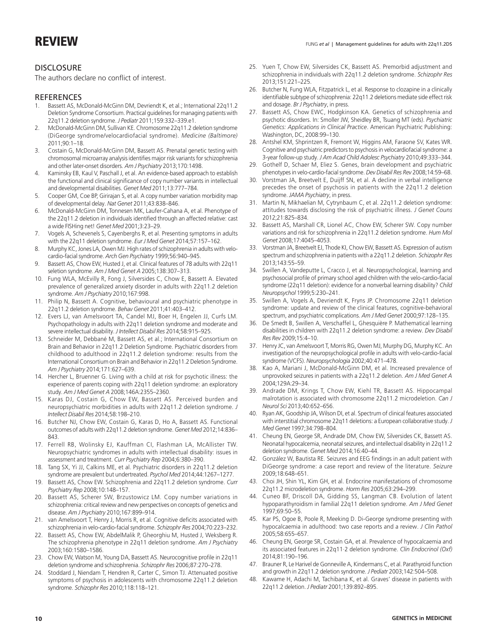# **DISCLOSURE**

The authors declare no conflict of interest.

#### **REFERENCES**

- 1. Bassett AS, McDonald-McGinn DM, Devriendt K, et al.; International 22q11.2 Deletion Syndrome Consortium. Practical guidelines for managing patients with 22q11.2 deletion syndrome. *J Pediatr* 2011;159:332–339.e1.
- 2. McDonald-McGinn DM, Sullivan KE. Chromosome 22q11.2 deletion syndrome (DiGeorge syndrome/velocardiofacial syndrome). *Medicine (Baltimore)* 2011;90:1–18.
- 3. Costain G, McDonald-McGinn DM, Bassett AS. Prenatal genetic testing with chromosomal microarray analysis identifies major risk variants for schizophrenia and other later-onset disorders. *Am J Psychiatry* 2013;170:1498.
- 4. Kaminsky EB, Kaul V, Paschall J, et al. An evidence-based approach to establish the functional and clinical significance of copy number variants in intellectual and developmental disabilities. *Genet Med* 2011;13:777–784.
- 5. Cooper GM, Coe BP, Girirajan S, et al. A copy number variation morbidity map of developmental delay. *Nat Genet* 2011;43:838–846.
- 6. McDonald-McGinn DM, Tonnesen MK, Laufer-Cahana A, et al. Phenotype of the 22q11.2 deletion in individuals identified through an affected relative: cast a wide FISHing net! *Genet Med* 2001;3:23–29.
- 7. Vogels A, Schevenels S, Cayenberghs R, et al. Presenting symptoms in adults with the 22q11 deletion syndrome. *Eur J Med Genet* 2014;57:157–162.
- 8. Murphy KC, Jones LA, Owen MJ. High rates of schizophrenia in adults with velocardio-facial syndrome. *Arch Gen Psychiatry* 1999;56:940–945.
- 9. Bassett AS, Chow EW, Husted J, et al. Clinical features of 78 adults with 22q11 seletion syndrome. *Am J Med Genet A* 2005;138:307–313.
- 10. Fung WLA, McEvilly R, Fong J, Silversides C, Chow E, Bassett A. Elevated prevalence of generalized anxiety disorder in adults with 22q11.2 deletion syndrome. *Am J Psychiatry* 2010;167:998.
- 11. Philip N, Bassett A. Cognitive, behavioural and psychiatric phenotype in 22q11.2 deletion syndrome. *Behav Genet* 2011;41:403–412.
- 12. Evers LJ, van Amelsvoort TA, Candel MJ, Boer H, Engelen JJ, Curfs LM. Psychopathology in adults with 22q11 deletion syndrome and moderate and severe intellectual disability. *J Intellect Disabil Res* 2014;58:915–925.
- 13. Schneider M, Debbané M, Bassett AS, et al.; International Consortium on Brain and Behavior in 22q11.2 Deletion Syndrome. Psychiatric disorders from childhood to adulthood in 22q11.2 deletion syndrome: results from the International Consortium on Brain and Behavior in 22q11.2 Deletion Syndrome. *Am J Psychiatry* 2014;171:627–639.
- 14. Hercher L, Bruenner G. Living with a child at risk for psychotic illness: the experience of parents coping with 22q11 deletion syndrome: an exploratory study. *Am J Med Genet A* 2008;146A:2355–2360.
- 15. Karas DJ, Costain G, Chow EW, Bassett AS. Perceived burden and neuropsychiatric morbidities in adults with 22q11.2 deletion syndrome. *J Intellect Disabil Res* 2014;58:198–210.
- 16. Butcher NJ, Chow EW, Costain G, Karas D, Ho A, Bassett AS. Functional outcomes of adults with 22q11.2 deletion syndrome. *Genet Med* 2012;14:836– 843.
- 17. Ferrell RB, Wolinsky EJ, Kauffman CI, Flashman LA, McAllister TW. Neuropsychiatric syndromes in adults with intellectual disability: issues in assessment and treatment. *Curr Psychiatry Rep* 2004;6:380–390.
- 18. Tang SX, Yi JJ, Calkins ME, et al. Psychiatric disorders in 22q11.2 deletion syndrome are prevalent but undertreated. *Psychol Med* 2014;44:1267–1277.
- 19. Bassett AS, Chow EW. Schizophrenia and 22q11.2 deletion syndrome. *Curr Psychiatry Rep* 2008;10:148–157.
- 20. Bassett AS, Scherer SW, Brzustowicz LM. Copy number variations in schizophrenia: critical review and new perspectives on concepts of genetics and disease. *Am J Psychiatry* 2010;167:899–914.
- 21. van Amelsvoort T, Henry J, Morris R, et al. Cognitive deficits associated with schizophrenia in velo-cardio-facial syndrome. *Schizophr Res* 2004;70:223–232.
- 22. Bassett AS, Chow EW, AbdelMalik P, Gheorghiu M, Husted J, Weksberg R. The schizophrenia phenotype in 22q11 deletion syndrome. *Am J Psychiatry* 2003;160:1580–1586.
- 23. Chow EW, Watson M, Young DA, Bassett AS. Neurocognitive profile in 22q11 deletion syndrome and schizophrenia. *Schizophr Res* 2006;87:270–278.
- 24. Stoddard J, Niendam T, Hendren R, Carter C, Simon TJ. Attenuated positive symptoms of psychosis in adolescents with chromosome 22q11.2 deletion syndrome. *Schizophr Res* 2010;118:118–121.
- 25. Yuen T, Chow EW, Silversides CK, Bassett AS. Premorbid adjustment and schizophrenia in individuals with 22q11.2 deletion syndrome. *Schizophr Res* 2013;151:221–225.
- 26. Butcher N, Fung WLA, Fitzpatrick L, et al. Response to clozapine in a clinically identifiable subtype of schizophrenia: 22q11.2 deletions mediate side effect risk and dosage. *Br J Psychiatry*, in press.
- 27. Bassett AS, Chow EWC, Hodgkinson KA. Genetics of schizophrenia and psychotic disorders. In: Smoller JW, Sheidley BR, Tsuang MT (eds). *Psychiatric Genetics: Applications in Clinical Practice*. American Psychiatric Publishing: Washington, DC, 2008:99–130.
- 28. Antshel KM, Shprintzen R, Fremont W, Higgins AM, Faraone SV, Kates WR. Cognitive and psychiatric predictors to psychosis in velocardiofacial syndrome: a 3-year follow-up study. *J Am Acad Child Adolesc Psychiatry* 2010;49:333–344.
- 29. Gothelf D, Schaer M, Eliez S. Genes, brain development and psychiatric phenotypes in velo-cardio-facial syndrome. *Dev Disabil Res Rev* 2008;14:59–68.
- 30. Vorstman JA, Breetvelt E, Duijff SN, et al. A decline in verbal intelligence precedes the onset of psychosis in patients with the 22q11.2 deletion syndrome. *JAMA Psychiatry*, in press.
- 31. Martin N, Mikhaelian M, Cytrynbaum C, et al. 22q11.2 deletion syndrome: attitudes towards disclosing the risk of psychiatric illness. *J Genet Couns* 2012;21:825–834.
- 32. Bassett AS, Marshall CR, Lionel AC, Chow EW, Scherer SW. Copy number variations and risk for schizophrenia in 22q11.2 deletion syndrome. *Hum Mol Genet* 2008;17:4045–4053.
- 33. Vorstman JA, Breetvelt EJ, Thode KI, Chow EW, Bassett AS. Expression of autism spectrum and schizophrenia in patients with a 22q11.2 deletion. *Schizophr Res* 2013;143:55–59.
- 34. Swillen A, Vandeputte L, Cracco J, et al. Neuropsychological, learning and psychosocial profile of primary school aged children with the velo-cardio-facial syndrome (22q11 deletion): evidence for a nonverbal learning disability? *Child Neuropsychol* 1999;5:230–241.
- 35. Swillen A, Vogels A, Devriendt K, Fryns JP. Chromosome 22q11 deletion syndrome: update and review of the clinical features, cognitive-behavioral spectrum, and psychiatric complications. *Am J Med Genet* 2000;97:128–135.
- 36. De Smedt B, Swillen A, Verschaffel L, Ghesquière P. Mathematical learning disabilities in children with 22q11.2 deletion syndrome: a review. *Dev Disabil Res Rev* 2009;15:4–10.
- 37. Henry JC, van Amelsvoort T, Morris RG, Owen MJ, Murphy DG, Murphy KC. An investigation of the neuropsychological profile in adults with velo-cardio-facial syndrome (VCFS). *Neuropsychologia* 2002;40:471–478.
- 38. Kao A, Mariani J, McDonald-McGinn DM, et al. Increased prevalence of unprovoked seizures in patients with a 22q11.2 deletion. *Am J Med Genet A* 2004;129A:29–34.
- 39. Andrade DM, Krings T, Chow EW, Kiehl TR, Bassett AS. Hippocampal malrotation is associated with chromosome 22q11.2 microdeletion. *Can J Neurol Sci* 2013;40:652–656.
- 40. Ryan AK, Goodship JA, Wilson DI, et al. Spectrum of clinical features associated with interstitial chromosome 22q11 deletions: a European collaborative study. *J Med Genet* 1997;34:798–804.
- 41. Cheung EN, George SR, Andrade DM, Chow EW, Silversides CK, Bassett AS. Neonatal hypocalcemia, neonatal seizures, and intellectual disability in 22q11.2 deletion syndrome. *Genet Med* 2014;16:40–44.
- 42. González W, Bautista RE. Seizures and EEG findings in an adult patient with DiGeorge syndrome: a case report and review of the literature. *Seizure* 2009;18:648–651.
- 43. Choi JH, Shin YL, Kim GH, et al. Endocrine manifestations of chromosome 22q11.2 microdeletion syndrome. *Horm Res* 2005;63:294–299.
- 44. Cuneo BF, Driscoll DA, Gidding SS, Langman CB. Evolution of latent hypoparathyroidism in familial 22q11 deletion syndrome. *Am J Med Genet* 1997;69:50–55.
- 45. Kar PS, Ogoe B, Poole R, Meeking D. Di-George syndrome presenting with hypocalcaemia in adulthood: two case reports and a review. *J Clin Pathol* 2005;58:655–657.
- 46. Cheung EN, George SR, Costain GA, et al. Prevalence of hypocalcaemia and its associated features in 22q11·2 deletion syndrome. *Clin Endocrinol (Oxf)* 2014;81:190–196.
- 47. Brauner R, Le Harivel de Gonneville A, Kindermans C, et al. Parathyroid function and growth in 22q11.2 deletion syndrome. *J Pediatr* 2003;142:504–508.
- 48. Kawame H, Adachi M, Tachibana K, et al. Graves' disease in patients with 22q11.2 deletion. *J Pediatr* 2001;139:892–895.